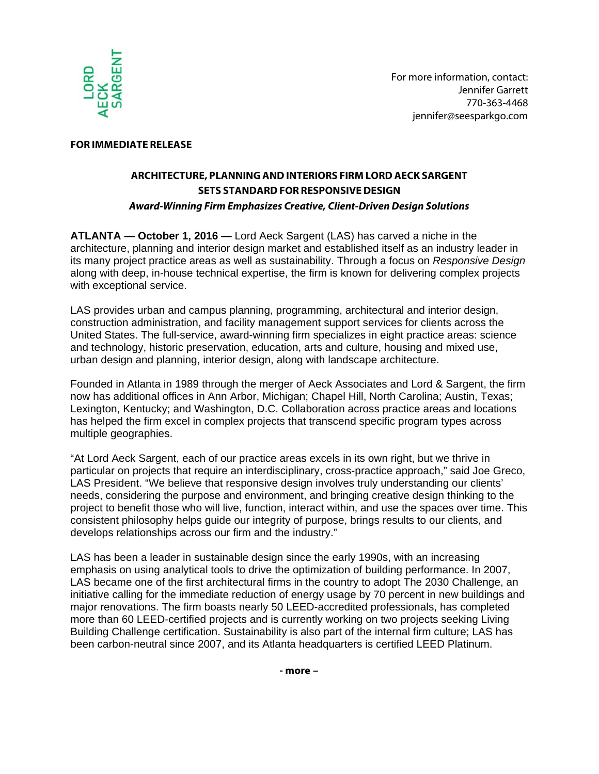

### **FOR IMMEDIATE RELEASE**

# **ARCHITECTURE, PLANNINGANDINTERIORS FIRM LORDAECK SARGENT SETS STANDARDFOR RESPONSIVE DESIGN**

## **Award-Winning Firm Emphasizes Creative, Client-Driven Design Solutions**

**ATLANTA — October 1, 2016 —** Lord Aeck Sargent (LAS) has carved a niche in the architecture, planning and interior design market and established itself as an industry leader in its many project practice areas as well as sustainability. Through a focus on *Responsive Design* along with deep, in-house technical expertise, the firm is known for delivering complex projects with exceptional service.

LAS provides urban and campus planning, programming, architectural and interior design, construction administration, and facility management support services for clients across the United States. The full-service, award-winning firm specializes in eight practice areas: science and technology, historic preservation, education, arts and culture, housing and mixed use, urban design and planning, interior design, along with landscape architecture.

Founded in Atlanta in 1989 through the merger of Aeck Associates and Lord & Sargent, the firm now has additional offices in Ann Arbor, Michigan; Chapel Hill, North Carolina; Austin, Texas; Lexington, Kentucky; and Washington, D.C. Collaboration across practice areas and locations has helped the firm excel in complex projects that transcend specific program types across multiple geographies.

"At Lord Aeck Sargent, each of our practice areas excels in its own right, but we thrive in particular on projects that require an interdisciplinary, cross-practice approach," said Joe Greco, LAS President. "We believe that responsive design involves truly understanding our clients' needs, considering the purpose and environment, and bringing creative design thinking to the project to benefit those who will live, function, interact within, and use the spaces over time. This consistent philosophy helps guide our integrity of purpose, brings results to our clients, and develops relationships across our firm and the industry."

LAS has been a leader in sustainable design since the early 1990s, with an increasing emphasis on using analytical tools to drive the optimization of building performance. In 2007, LAS became one of the first architectural firms in the country to adopt The 2030 Challenge, an initiative calling for the immediate reduction of energy usage by 70 percent in new buildings and major renovations. The firm boasts nearly 50 LEED-accredited professionals, has completed more than 60 LEED-certified projects and is currently working on two projects seeking Living Building Challenge certification. Sustainability is also part of the internal firm culture; LAS has been carbon-neutral since 2007, and its Atlanta headquarters is certified LEED Platinum.

**- more –**